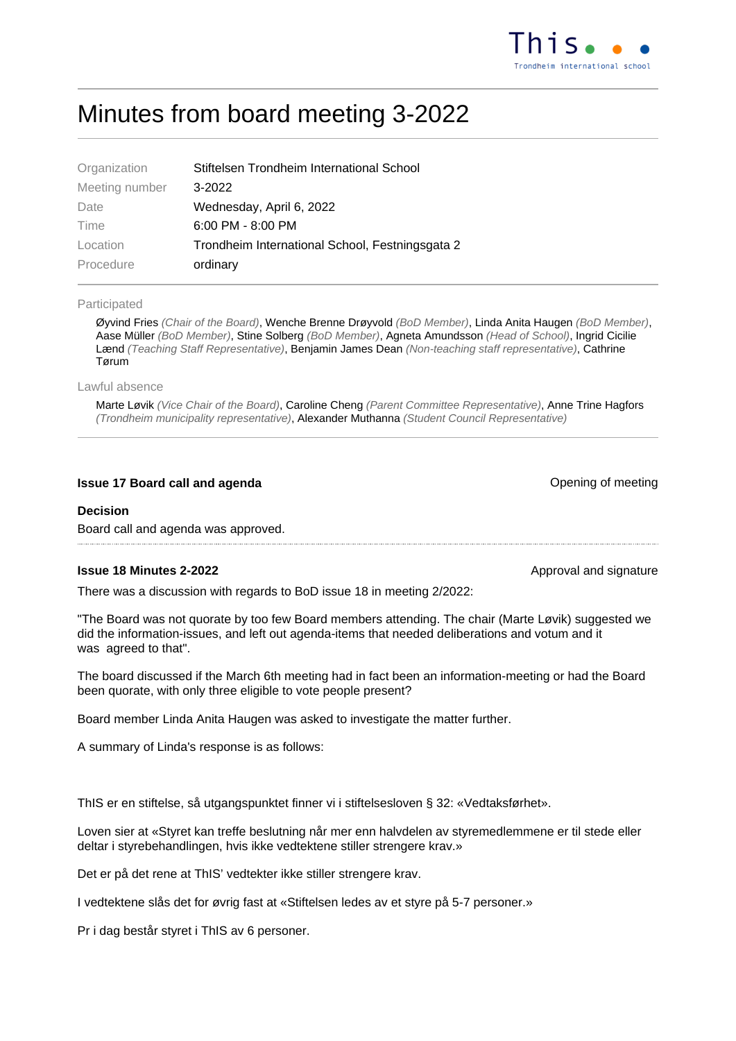# Minutes from board meeting 3-2022

| Organization   | Stiftelsen Trondheim International School       |  |  |
|----------------|-------------------------------------------------|--|--|
| Meeting number | $3-2022$                                        |  |  |
| Date           | Wednesday, April 6, 2022                        |  |  |
| Time           | $6:00$ PM - $8:00$ PM                           |  |  |
| Location       | Trondheim International School, Festningsgata 2 |  |  |
| Procedure      | ordinary                                        |  |  |
|                |                                                 |  |  |

#### Participated

Øyvind Fries (Chair of the Board), Wenche Brenne Drøyvold (BoD Member), Linda Anita Haugen (BoD Member), Aase Müller (BoD Member), Stine Solberg (BoD Member), Agneta Amundsson (Head of School), Ingrid Cicilie Lænd (Teaching Staff Representative), Benjamin James Dean (Non-teaching staff representative), Cathrine Tørum

Lawful absence

Marte Løvik (Vice Chair of the Board), Caroline Cheng (Parent Committee Representative), Anne Trine Hagfors (Trondheim municipality representative), Alexander Muthanna (Student Council Representative)

# **Issue 17 Board call and agenda Contract Contract Contract Contract Contract Contract Contract Contract Contract Contract Contract Contract Contract Contract Contract Contract Contract Contract Contract Contract Contract**

#### **Decision**

Board call and agenda was approved.

## **Issue 18 Minutes 2-2022 Approval and signature** Approval and signature

There was a discussion with regards to BoD issue 18 in meeting 2/2022:

"The Board was not quorate by too few Board members attending. The chair (Marte Løvik) suggested we did the information-issues, and left out agenda-items that needed deliberations and votum and it was agreed to that".

The board discussed if the March 6th meeting had in fact been an information-meeting or had the Board been quorate, with only three eligible to vote people present?

Board member Linda Anita Haugen was asked to investigate the matter further.

A summary of Linda's response is as follows:

ThIS er en stiftelse, så utgangspunktet finner vi i stiftelsesloven § 32: «Vedtaksførhet».

Loven sier at «Styret kan treffe beslutning når mer enn halvdelen av styremedlemmene er til stede eller deltar i styrebehandlingen, hvis ikke vedtektene stiller strengere krav.»

Det er på det rene at ThIS' vedtekter ikke stiller strengere krav.

I vedtektene slås det for øvrig fast at «Stiftelsen ledes av et styre på 5-7 personer.»

Pr i dag består styret i ThIS av 6 personer.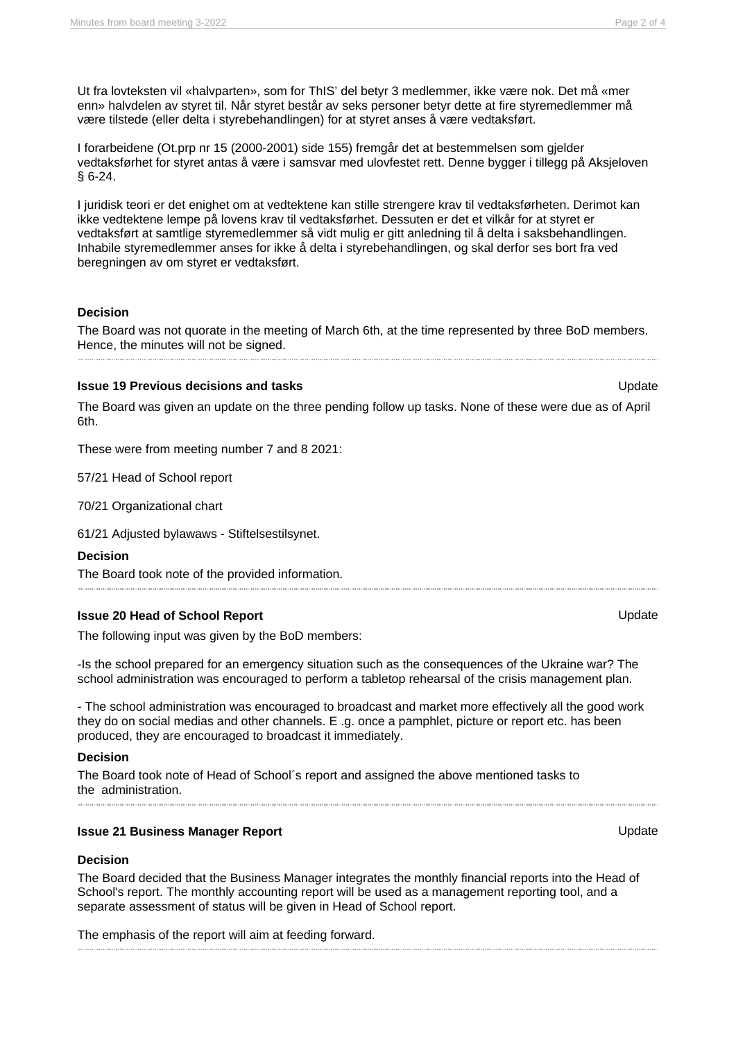Ut fra lovteksten vil «halvparten», som for ThIS' del betyr 3 medlemmer, ikke være nok. Det må «mer enn» halvdelen av styret til. Når styret består av seks personer betyr dette at fire styremedlemmer må være tilstede (eller delta i styrebehandlingen) for at styret anses å være vedtaksført.

I forarbeidene (Ot.prp nr 15 (2000-2001) side 155) fremgår det at bestemmelsen som gjelder vedtaksførhet for styret antas å være i samsvar med ulovfestet rett. Denne bygger i tillegg på Aksjeloven § 6-24.

I juridisk teori er det enighet om at vedtektene kan stille strengere krav til vedtaksførheten. Derimot kan ikke vedtektene lempe på lovens krav til vedtaksførhet. Dessuten er det et vilkår for at styret er vedtaksført at samtlige styremedlemmer så vidt mulig er gitt anledning til å delta i saksbehandlingen. Inhabile styremedlemmer anses for ikke å delta i styrebehandlingen, og skal derfor ses bort fra ved beregningen av om styret er vedtaksført.

## **Decision**

The Board was not quorate in the meeting of March 6th, at the time represented by three BoD members. Hence, the minutes will not be signed.

#### **Issue 19 Previous decisions and tasks No. 2008 12:00 No. 2008 12:00 No. 2008 12:00 No. 2008 12:00 No. 2008 12:00 No. 2008 12:00 No. 2008 12:00 No. 2008 12:00 No. 2008 12:00 No. 2008 12:00 No. 2008 12:00 No. 2008 12:00 N**

The Board was given an update on the three pending follow up tasks. None of these were due as of April 6th.

These were from meeting number 7 and 8 2021:

57/21 Head of School report

70/21 Organizational chart

61/21 Adjusted bylawaws - Stiftelsestilsynet.

## **Decision**

The Board took note of the provided information.

# **Issue 20 Head of School Report** Update Update

The following input was given by the BoD members:

-Is the school prepared for an emergency situation such as the consequences of the Ukraine war? The school administration was encouraged to perform a tabletop rehearsal of the crisis management plan.

- The school administration was encouraged to broadcast and market more effectively all the good work they do on social medias and other channels. E .g. once a pamphlet, picture or report etc. has been produced, they are encouraged to broadcast it immediately.

#### **Decision**

The Board took note of Head of School´s report and assigned the above mentioned tasks to the administration.

# **Issue 21 Business Manager Report Contract Contract Contract Contract Contract Contract Contract Contract Contract Contract Contract Contract Contract Contract Contract Contract Contract Contract Contract Contract Contra**

#### **Decision**

The Board decided that the Business Manager integrates the monthly financial reports into the Head of School's report. The monthly accounting report will be used as a management reporting tool, and a separate assessment of status will be given in Head of School report.

The emphasis of the report will aim at feeding forward.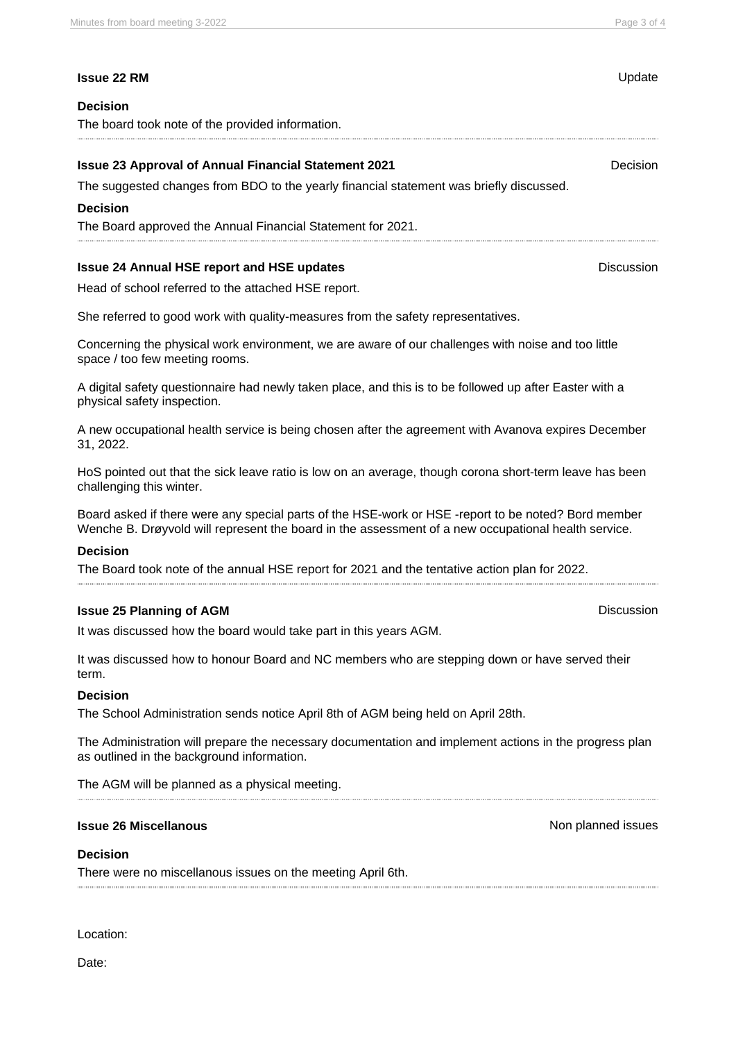## **Issue 22 RM** Update

## **Decision**

The board took note of the provided information.

## **Issue 23 Approval of Annual Financial Statement 2021 Decision** Decision

The suggested changes from BDO to the yearly financial statement was briefly discussed.

#### **Decision**

The Board approved the Annual Financial Statement for 2021.

## **Issue 24 Annual HSE report and HSE updates Discussion Discussion**

Head of school referred to the attached HSE report.

She referred to good work with quality-measures from the safety representatives.

Concerning the physical work environment, we are aware of our challenges with noise and too little space / too few meeting rooms.

A digital safety questionnaire had newly taken place, and this is to be followed up after Easter with a physical safety inspection.

A new occupational health service is being chosen after the agreement with Avanova expires December 31, 2022.

HoS pointed out that the sick leave ratio is low on an average, though corona short-term leave has been challenging this winter.

Board asked if there were any special parts of the HSE-work or HSE -report to be noted? Bord member Wenche B. Drøyvold will represent the board in the assessment of a new occupational health service.

#### **Decision**

The Board took note of the annual HSE report for 2021 and the tentative action plan for 2022.

#### **Issue 25 Planning of AGM Discussion**

It was discussed how the board would take part in this years AGM.

It was discussed how to honour Board and NC members who are stepping down or have served their term.

## **Decision**

The School Administration sends notice April 8th of AGM being held on April 28th.

The Administration will prepare the necessary documentation and implement actions in the progress plan as outlined in the background information.

The AGM will be planned as a physical meeting.

## **Issue 26 Miscellanous** Non planned issues

#### **Decision**

There were no miscellanous issues on the meeting April 6th.

Location:

Date: participantid:316192 participantid:316192 participantid:316191 participantid:316191 participantid:316191